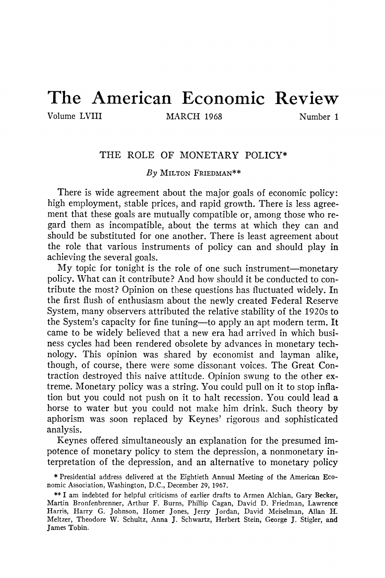# **The American Economic Review**

**Volume LVIII MARCH 1968 Number 1** 

## **THE ROLE OF MONETARY POLICY\***

**By MILTON FRIEDMAN\*\*** 

**There is wide agreement about the major goals of economic policy: high employment, stable prices, and rapid growth. There is less agreement that these goals are mutually compatible or, among those who regard them as incompatible, about the terms at which they can and should be substituted for one another. There is least agreement about the role that various instruments of policy can and should play in achieving the several goals.** 

**My topic for tonight is the role of one such instrument-monetary policy. What can it contribute? And how should it be conducted to contribute the most? Opinion on these questions has fluctuated widely. In the first flush of enthusiasm about the newly created Federal Reserve System, many observers attributed the relative stability of the 1920s to**  the System's capacity for fine tuning—to apply an apt modern term. It **came to be widely believed that a new era had arrived in which business cycles had been rendered obsolete by advances in monetary technology. This opinion was shared by economist and layman alike, though, of course, there were some dissonant voices. The Great Contraction destroyed this naive attitude. Opinion swung to the other extreme. Monetary policy was a string. You could pull on it to stop inflation but you could not push on it to halt recession. You could lead a horse to water but you could not make him drink. Such theory by aphorism was soon replaced by Keynes' rigorous and sophisticated analysis.** 

**Keynes offered simultaneously an explanation for the presumed impotence of monetary policy to stem the depression, a nonmonetary interpretation of the depression, and an alternative to monetary policy** 

**<sup>\*</sup> Presidential address delivered at the Eightieth Annual Meeting of the American Economic Association, Washington, D.C., December 29, 1967.** 

**<sup>\*\*</sup> I am indebted for helpful criticisms of earlier drafts to Armen Alchian, Gary Becker, Martin Bronfenbrenner, Arthur F. Burns, Phillip Cagan, David D. Friedman, Lawrence Harris, Harry G. Johnson, Homer Jones, Jerry Jordan, David Meiselman, Allan H. Meltzer, Theodore W. Schultz, Anna J. Schwartz, Herbert Stein, George J. Stigler, and James Tobin.**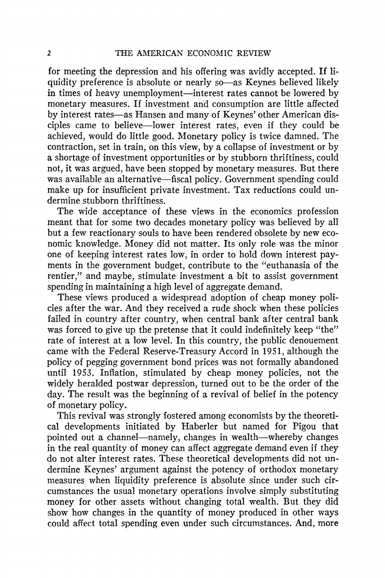**for meeting the depression and his offering was avidly accepted. If liquidity preference is absolute or nearly so-as Keynes believed likely**  in times of heavy unemployment—interest rates cannot be lowered by **monetary measures. If investment and consumption are little affected by interest rates-as Hansen and many of Keynes' other American disciples came to believe-lower interest rates, even if they could be achieved, would do little good. Monetary policy is twice damned. The contraction, set in train, on this view, by a collapse of investment or by a shortage of investment opportunities or by stubborn thriftiness, could not, it was argued, have been stopped by monetary measures. But there was available an alternative-fiscal policy. Government spending could make up for insufficient private investment. Tax reductions could undermine stubborn thriftiness.** 

**The wide acceptance of these views in the economics profession meant that for some two decades monetary policy was believed by all but a few reactionary souls to have been rendered obsolete by new economic knowledge. Money did not matter. Its only role was the minor one of keeping interest rates low, in order to hold down interest payments in the government budget, contribute to the "euthanasia of the rentier," and maybe, stimulate investment a bit to assist government spending in maintaining a high level of aggregate demand.** 

**These views produced a widespread adoption of cheap money policies after the war. And they received a rude shock when these policies failed in country after country, when central bank after central bank was forced to give up the pretense that it could indefinitely keep "the" rate of interest at a low level. In this country, the public denouement came with the Federal Reserve-Treasury Accord in 1951, although the policy of pegging government bond prices was not formally abandoned until 1953. Inflation, stimulated by cheap money policies, not the widely heralded postwar depression, turned out to be the order of the day. The result was the beginning of a revival of belief in the potency of monetary policy.** 

**This revival was strongly fostered among economists by the theoretical developments initiated by Haberler but named for Pigou that pointed out a channel-namely, changes in wealth-whereby changes in the real quantity of money can affect aggregate demand even if they do not alter interest rates. These theoretical developments did not undermine Keynes' argument against the potency of orthodox monetary measures when liquidity preference is absolute since under such circumstances the usual monetary operations involve simply substituting money for other assets without changing total wealth. But they did show how changes in the quantity of money produced in other ways could affect total spending even under such circumstances. And, more**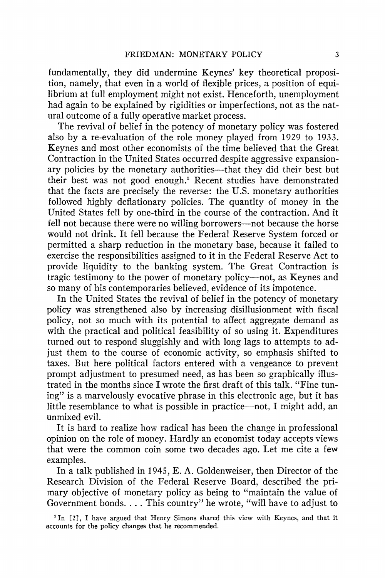**fundamentally, they did undermine Keynes' key theoretical proposition, namely, that even in a world of flexible prices, a position of equilibrium at full employment might not exist. Henceforth, unemployment had again to be explained by rigidities or imperfections, not as the natural outcome of a fully operative market process.** 

**The revival of belief in the potency of monetary policy was fostered also by a re-evaluation of the role money played from 1929 to 1933. Keynes and most other economists of the time believed that the Great Contraction in the United States occurred despite aggressive expansionary policies by the monetary authorities-that they did their best but their best was not good enough.' Recent studies have demonstrated that the facts are precisely the reverse: the U.S. monetary authorities followed highly deflationary policies. The quantity of money in the United States fell by one-third in the course of the contraction. And it**  fell not because there were no willing borrowers—not because the horse **would not drink. It fell because the Federal Reserve System forced or permitted a sharp reduction in the monetary base, because it failed to exercise the responsibilities assigned to it in the Federal Reserve Act to provide liquidity to the banking system. The Great Contraction is tragic testimony to the power of monetary policy-not, as Keynes and so many of his contemporaries believed, evidence of its impotence.** 

**In the United States the revival of belief in the potency of monetary policy was strengthened also by increasing disillusionment with fiscal policy, not so much with its potential to affect aggregate demand as with the practical and political feasibility of so using it. Expenditures turned out to respond sluggishly and with long lags to attempts to adjust them to the course of economic activity, so emphasis shifted to taxes. But here political factors entered with a vengeance to prevent prompt adjustment to presumed need, as has been so graphically illustrated in the months since I wrote the first draft of this talk. "Fine tuning" is a marvelously evocative phrase in this electronic age, but it has little resemblance to what is possible in practice-not, I might add, an unmixed evil.** 

**It is hard to realize how radical has been the change in professional opinion on the role of money. Hardly an economist today accepts views**  that were the common coin some two decades ago. Let me cite a few **examples.** 

**In a talk published in 1945, E. A. Goldenweiser, then Director of the Research Division of the Federal Reserve Board, described the primary objective of monetary policy as being to "maintain the value of Government bonds.... This country" he wrote, "will have to adjust to** 

**'In [2], I have argued that Henry Simons shared this view with Keynes, and that it accounts for the policy changes that he recommended.**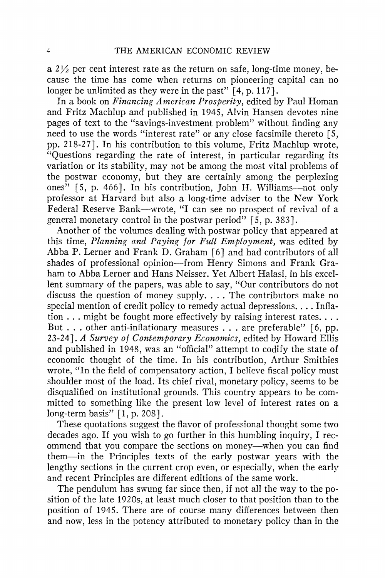**a 212 per cent interest rate as the return on safe, long-time money, because the time has come when returns on pioneering capital can no**  longer be unlimited as they were in the past" [4, p. 117].

**In a book on Financing A merican Prosperity, edited by Paul Homan and Fritz Machlup and published in 1945, Alvin Hansen devotes nine pages of text to the "savings-investment problem" without finding any need to use the words "interest rate" or any close facsimile thereto [5, pp. 218-27]. In his contribution to this volume, Fritz Machlup wrote, "Questions regarding the rate of interest, in particular regarding its variation or its stability, may not be among the most vital problems of the postwar economy, but they are certainly among the perplexing ones" [5, p. 466]. In his contribution, John H. Williams-not only professor at Harvard but also a long-time adviser to the New York**  Federal Reserve Bank-wrote, "I can see no prospect of revival of a **general monetary control in the postwar period" [5, p. 383].** 

**Another of the volumes dealing with postwar policy that appeared at this time, Planning and Paying for Full Employment, was edited by Abba P. Lerner and Frank D. Graham [6] and had contributors of all shades of professional opinion-from Henry Simons and Frank Graham to Abba Lerner and Hans Neisser. Yet Albert Halasi, in his excellent summary of the papers, was able to say, "Our contributors do not discuss the question of money supply. . . . The contributors make no special mention of credit policy to remedy actual depressions.... Inflation ... might be fought more effectively by raising interest rates.... But . . . other anti-inflationary measures . . . are preferable" [6, pp. 23-24]. A Survey of Contemporary Economics, edited by Howard Ellis and published in 1948, was an "official" attempt to codify the state of economic thought of the time. In his contribution, Arthur Smithies wrote, "In the field of compensatory action, I believe fiscal policy must shoulder most of the load. Its chief rival, monetary policy, seems to be disqualified on institutional grounds. This country appears to be committed to something like the present low level of interest rates on a long-term basis**" [1, p. 208].

**These quotations suggest the flavor of professional thought some two decades ago. If you wish to go further in this humbling inquiry, I recommend that you compare the sections on money-when you can find them-in the Principles texts of the early postwar years with the lengthy sections in the current crop even, or especially, when the early and recent Principles are different editions of the same work.** 

**The pendulum has swung far since then, if not all the way to the position of the late 1920s, at least much closer to that position than to the position of 1945. There are of course many differences between then and now, less in the potency attributed to monetary policy than in the**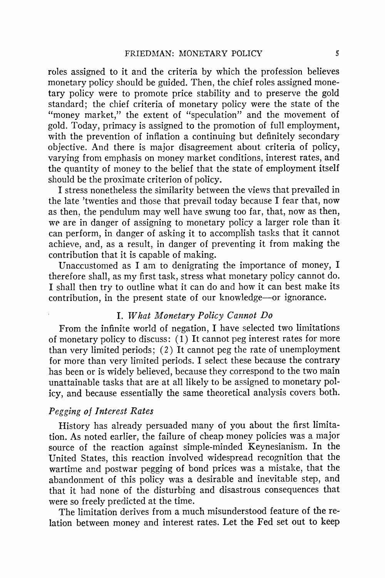**roles assigned to it and the criteria by which the profession believes monetary policy should be guided. Then, the chief roles assigned monetary policy were to promote price stability and to preserve the gold standard; the chief criteria of monetary policy were the state of the "money market," the extent of "speculation" and the movement of gold. Today, primacy is assigned to the promotion of full employment, with the prevention of inflation a continuing but definitely secondary objective. And there is major disagreement about criteria of policy,**  varying from emphasis on money market conditions, interest rates, and **the quantity of money to the belief that the state of employment itself should be the proximate criterion of policy.** 

**I stress nonetheless the similarity between the views that prevailed in the late 'twenties and those that prevail today because I fear that, now as then, the pendulum may well have swung too far, that, now as then, we are in danger of assigning to monetary policy a larger role than it can perform, in danger of asking it to accomplish tasks that it cannot achieve, and, as a result, in danger of preventing it from making the contribution that it is capable of making.** 

**Unaccustomed as I am to denigrating the importance of money, I therefore shall, as my first task, stress what monetary policy cannot do. I shall then try to outline what it can do and how it can best make its contribution, in the present state of our knowledge-or ignorance.** 

## **I. What Monetary Policy Cannot Do**

**From the infinite world of negation, I have selected two limitations of monetary policy to discuss: (1) It cannot peg interest rates for more than very limited periods; (2) It cannot peg the rate of unemployment for more than very limited periods. I select these because the contrary has been or is widely believed, because they correspond to the two main unattainable tasks that are at all likely to be assigned to monetary policy, and because essentially the same theoretical analysis covers both.** 

## **Pegging of Interest Rates**

**History has already persuaded many of you about the first limitation. As noted earlier, the failure of cheap money policies was a major source of the reaction against simple-minded Keynesianism. In the United States, this reaction involved widespread recognition that the wartime and postwar pegging of bond prices was a mistake, that the abandonment of this policy was a desirable and inevitable step, and that it hiad none of the disturbing and disastrous consequences that were so freely predicted at the time.** 

The limitation derives from a much misunderstood feature of the re**lation between money and interest rates. Let the Fed set out to keep**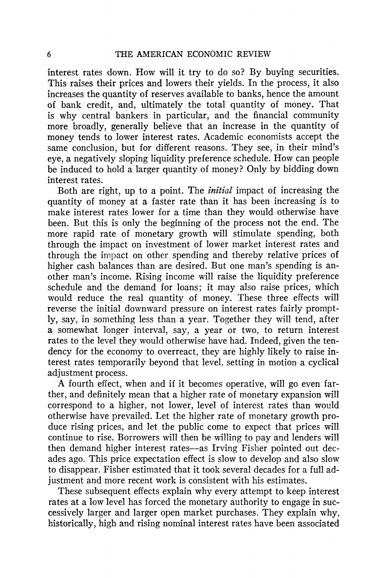**interest rates down. How will it try to do so? By buying securities. This raises their prices and lowers their yields. In the process, it also increases the quantity of reserves available to banks, hence the amount of bank credit, and, ultimately the total quantity of money. That is why central bankers in particular, and the financial community more broadly, generally believe that an increase in the quantity of money tends to lower interest rates. Academic economists accept the same conclusion, but for different reasons. They see, in their mind's eye, a negatively sloping liquidity preference schedule. How can people be induced to hold a larger quantity of money? Only by bidding down interest rates.** 

**Both are right, up to a point. The initial impact of increasing the quantity of money at a faster rate than it has been increasing is to make interest rates lower for a time than they would otherwise have been. But this is only the beginning of the process not the end. The more rapid rate of monetary growth will stimulate spending, both through the impact on investment of lower market interest rates and through the impact on other spending and thereby relative prices of higher cash balances than are desired. But one man's spending is another man's income. Rising income will raise the liquidity preference schedule and the demand for loans; it may also raise prices, which would reduce the real quantity of money. These three effects will reverse the initial downward pressure on interest rates fairly promptly, say, in something less than a year. Together they will tend, after a somewhat longer interval, say, a year or two, to return interest rates to the level they would otherwise have had. Indeed, given the tendency for the economy to overreact, they are highly likely to raise interest rates temporarily beyond that level, setting in motion a cyclical adjustment process.** 

**A fourth effect, when and if it becomes operative, will go even farther, and definitely mean that a higher rate of monetary expansion will correspond to a higher, not lower, level of interest rates than would otherwise have prevailed. Let the higher rate of monetary growth produce rising prices, and let the public come to expect that prices will continue to rise. Borrowers will then be willing to pay and lenders will then demand higher interest rates-as Irving Fisher pointed out decades ago. This price expectation effect is slow to develop and also slow to disappear. Fisher estimated that it took several decades for a full adjustment and more recent work is consistent with his estimates.** 

**These subsequent effects explain why every attempt to keep interest rates at a low level has forced the monetary authority to engage in successively larger and larger open market purchases. They explain why, historically, high and rising nominal interest rates have been associated**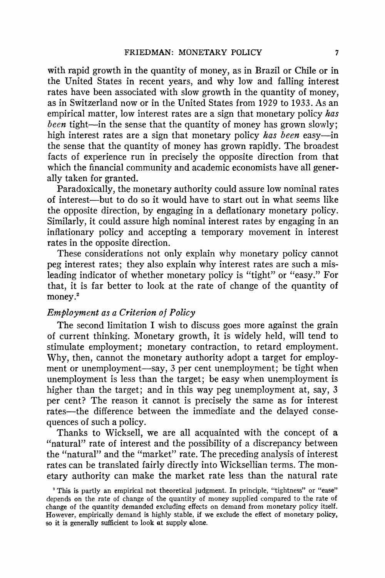**with rapid growth in the quantity of money, as in Brazil or Chile or in the United States in recent years, and why low and falling interest rates have been associated with slow growth in the quantity of money, as in Switzerland now or in the United States from 1929 to 1933. As an empirical matter, low interest rates are a sign that monetary policy has**  been tight—in the sense that the quantity of money has grown slowly; **high interest rates are a sign that monetary policy has been easy-in the sense that the quantity of money has grown rapidly. The broadest facts of experience run in precisely the opposite direction from that which the financial community and academic economists have all generally taken for granted.** 

**Paradoxically, the monetary authority could assure low nominal rates of interest-but to do so it would have to start out in what seems like the opposite direction, by engaging in a deflationary monetary policy. Similarly, it could assure high nominal interest rates by engaging in an inflationary policy and accepting a temporary movement in interest rates in the opposite direction.** 

**These considerations not only explain why monetary policy cannot peg interest rates; they also explain why interest rates are such a misleading indicator of whether monetary policy is "tight" or "easy." For that, it is far better to look at the rate of change of the quantity of**  money.<sup>2</sup>

### **Employment as a Criterion of Policy**

**The second limitation I wish to discuss goes more against the grain of current thinking. Monetary growth, it is widely held, will tend to stimulate employment; monetary contraction, to retard employment. Why, then, cannot the monetary authority adopt a target for employ**ment or unemployment-say, 3 per cent unemployment; be tight when **unemployment is less than the target; be easy when unemployment is higher than the target; and in this way peg unemployment at, say, 3 per cent? The reason it cannot is precisely the same as for interest**  rates—the difference between the immediate and the delayed conse**quences of such a policy.** 

**Tlhanks to Wicksell, we are all acquainted with the concept of a "natural" rate of interest and the possibility of a discrepancy between the "natural" and the "market" rate. The preceding analysis of interest**  rates can be translated fairly directly into Wicksellian terms. The mon**etary authority can make the market rate less than the natural rate** 

**<sup>2</sup>This is partly an empirical not theoretical judgment. In principle, "tightness" or "ease" depends on the rate of change of the quantity of money supplied compared to the rate of change of the quantity demanded excluding effects on demand from monetary policy itself. However, empirically demand is highly stable, if we exclude the effect of monetary policy, so it is generally sufficient to look at supply alone.**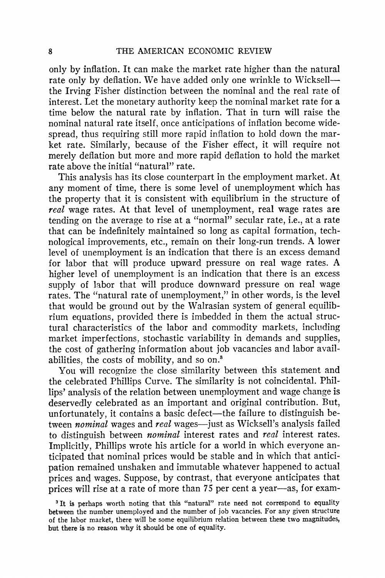**only by inflation. It can mnake the market rate higher than the natural rate only by deflation. We have added only one wrinkle to Wicksellthe Irving Fisher distinction between the nominal and the real rate of interest. Let the monetary authority keep the nominal market rate for a time below the natural rate by inflation. That in turn will raise the nominal natural rate itself, once anticipations of inflation become widespread, thus requiring still more rapid inflation to hold down the market rate. Similarly, because of the Fisher effect, it will require not merely deflation but more and more rapid deflation to hold the market rate above the initial "natural" rate.** 

**This analysis has its close counterpart in the employment market. At any moment of time, there is some level of unemployment which has the property that it is consistent with equilibrium in the structure of real wage rates. At that level of unemployment, real wage rates are tending on the average to rise at a "normal" secular rate, i.e., at a rate that can be indefinitely maintained so long as capital formation, technological improvements, etc., remain on their long-run trends. A lower level of unemployment is an indication that there is an excess demand for labor that will produce upward pressure on real wage rates. A higher level of unemployment is an indication that there is an excess supply of labor that will produce downward pressure on real wage rates. The "natural rate of unemployment," in other words, is the level that would be ground out by the Walrasian system of general equilibrium equations, provided there is imbedded in them the actual structural characteristics of the labor and commodity markets, including market imperfections, stochastic variability in demands and supplies, the cost of gathering information about job vacancies and labor availabilities, the costs of mobility, and so on.'** 

**You will recognize the close similarity between this statement and the celebrated Phillips Curve. The similarity is not coincidental. Phillips' analysis of the relation between unemployment and wage change is deservedly celebrated as an important and original contribution. But,**  unfortunately, it contains a basic defect—the failure to distinguish be**tween nominal wages and real wages-just as Wicksell's analysis failed to distinguish between nominal interest rates and real interest rates. Implicitly, Phillips wrote his article for a world in which everyone anticipated that nominal prices would be stable and in which that anticipation remained unshaken and immutable whatever happened to actual prices and wages. Suppose, by contrast, that everyone anticipates that**  prices will rise at a rate of more than 75 per cent a year-as, for exam-

<sup>&</sup>lt;sup>3</sup> It is perhaps worth noting that this "natural" rate need not correspond to equality **between the number unemployed and the number of job vacancies. For any given structure**  of the labor market, there will be some equilibrium relation between these two magnitudes, **but there is no reason why it should be one of equality.**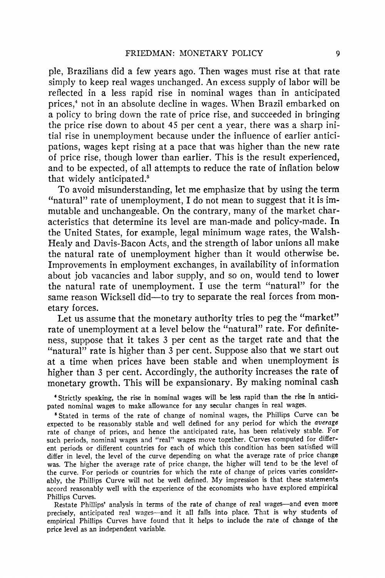**ple, Brazilians did a few years ago. Then wages must rise at that rate simply to keep real wages unchanged. An excess supply of labor will be reflected in a less rapid rise in nominal wages than in anticipated prices,4 not in an absolute decline in wages. When Brazil embarked on a policy to bring down the rate of price rise, and succeeded in bringing the price rise down to about 45 per cent a year, there was a sharp initial rise in unemployment because under the influence of earlier anticipations, wages kept rising at a pace that was higher than the new rate of price rise, though lower than earlier. This is the result experienced, and to be expected, of all attempts to reduce the rate of inflation below that widely anticipated.5** 

**To avoid misunderstanding, let me emphasize that by using the term "natural" rate of unemployment, I do not mean to suggest that it is immutable and unchangeable. On the contrary, many of the market characteristics that determine its level are man-made and policy-made. In the United States, for example, legal minimum wage rates, the Walsh-Healy and Davis-Bacon Acts, and the strength of labor unions all make the natural rate of unemployment higher than it would otherwise be. Improvements in employment exchanges, in availability of information about job vacancies and labor supply, and so on, would tend to lower the natural rate of unemployment. I use the term "natural" for the**  same reason Wicksell did—to try to separate the real forces from mon**etary forces.** 

**Let us assume that the monetary authority tries to peg the "market" rate of unemployment at a level below the "natural" rate. For definiteness, suppose that it takes 3 per cent as the target rate and that the**  "natural" rate is higher than 3 per cent. Suppose also that we start out **at a time when prices have been stable and when unemployment is higher than 3 per cent. Accordingly, the authority increases the rate of monetary growth. This will be expansionary. By making nominal cash** 

**4 Strictly speaking, the rise in nominal wages will be less rapid than the rise in anticipated nominal wages to make allowance for any secular changes in real wages.** 

**'Stated in terms of the rate of change of nominal wages, the Phillips Curve can be expected to be reasonably stable and well defined for any period for which the average rate of change of prices, and hence the anticipated rate, has been relatively stable. For such periods, nominal wages and "real" wages move together. Curves computed for different periods or different countries for each of which this condition has been satisfied will differ in level, the level of the curve depending on what the average rate of price change was. The higher the average rate of price change, the higher will tend to be the level of the curve. For periods or countries for which the rate of change of prices varies considerably, the Phillips Curve will not be well defined. My impression is that these statements accord reasonably well with the experience of the economists who have explored empirical Phillips Curves.** 

**Restate Phillips' analysis in terms of the rate of change of real wages-and even more precisely, anticipated real wages-and it all falls into place. That is why students of empirical Phillips Curves have found that it helps to include the rate of change of the price level as an independent variable.**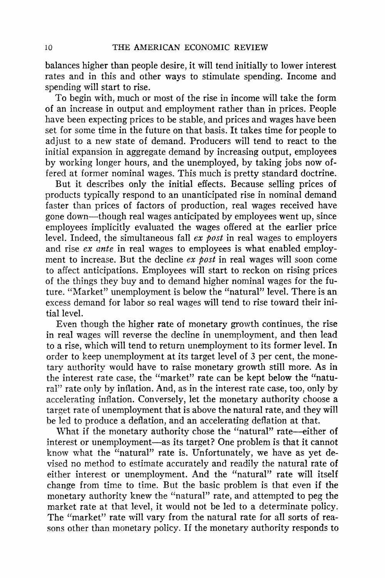**balances higher than people desire, it will tend initially to lower interest rates and in this and other ways to stimulate spending. Income and spending will start to rise.** 

**To begin with, much or most of the rise in income will take the form of an increase in output and employment rather than in prices. People have been expecting prices to be stable, and prices and wages have been set for some time in the future on that basis. It takes time for people to adjust to a new state of demand. Producers will tend to react to the initial expansion in aggregate demand by increasing output, employees by working longer hours, and the unemployed, by taking jobs now offered at former nominal wages. This much is pretty standard doctrine.** 

**But it describes only the initial effects. Because selling prices of products typically respond to an unanticipated rise in nominal demand faster than prices of factors of production, real wages received have gone down-though real wages anticipated by employees went up, since employees implicitly evaluated the wages offered at the earlier price level. Indeed, the simultaneous fall ex post in real wages to employers and rise ex ante in real wages to employees is what enabled employment to increase. But the decline ex post in real wages will soon come to affect anticipations. Employees will start to reckon on rising prices of the things they buy and to demand higher nominal wages for the future. "Market" unemployment is below the "natural" level. There is an excess demand for labor so real wages will tend to rise toward their initial level.** 

**Even though the higher rate of monetary growth continues, the rise in real wages will reverse the decline in unemployment, and then lead to a rise, which will tend to return unemployment to its former level. In order to keep unemployment at its target level of 3 per cent, the monetary authority would have to raise monetary growth still more. As in the interest rate case, the "market" rate can be kept below the "natu**ral" rate only by inflation. And, as in the interest rate case, too, only by accelerating inflation. Conversely, let the monetary authority choose a **target rate of unemployment that is above the natural rate, and they will be led to produce a deflation, and an accelerating deflation at that.** 

**What if the monetary authority chose the "natural" rate-either of interest or unemployment-as its target? One problem is that it cannot know what the "natural" rate is. Unfortunately, we have as yet devised no method to estimate accurately and readily the natural rate of either interest or unemployment. And the "natural" rate will itself change from time to time. But the basic problem is that even if the monetary authority knew the "natural" rate, and attempted to peg the market rate at that level, it would not be led to a determinate policy. The "market" rate will vary from the natural rate for all sorts of reasons other than monetary policy. If the monetary authority responds to**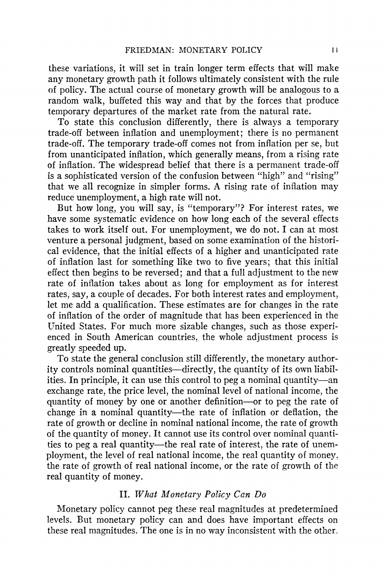**these variations, it will set in train longer term effects that will make any monetary growth path it follows ultimately consistent with the rule of policy. The actual course of monetary growth will be analogous to a random walk, buffeted this way and that by the forces that produce temporary departures of the market rate from the natural rate.** 

**To state this conclusion differently, there is always a temporary trade-off between inflation and unemployment; there is no permanent trade-off. The temporary trade-off comes not from inflation per se, but from unanticipated inflation, which generally means, from a rising rate**  of inflation. The widespread belief that there is a permanent trade-off **is a sophisticated version of the confusion between "high" and "rising" that we all recognize in simpler forms. A rising rate of inflation may reduce unemployment, a high rate will not.** 

**But how long, you will say, is "temporary"? For interest rates, we have some systematic evidence on how long each of the several effects takes to work itself out. For unemployment, we do not. I can at most venture a personal judgment, based on some examination of the historical evidence, that the initial effects of a higher and unanticipated rate of inflation last for something like two to five years; that this initial effect then begins to be reversed; and that a full adjustment to the new rate of inflation takes about as long for employment as for interest rates, say, a couple of decades. For both interest rates and employment, let me add a qualification. These estimates are for changes in the rate of inflation of the order of magnitude that has been experienced in the United States. For much more sizable changes, such as those experienced in South American countries, the whole adjustment process is greatly speeded up.** 

**To state the general conclusion still differently, the monetary authority controls nominal quantities-directly, the quantity of its own liabilities. In principle, it can use this control to peg a nominal quantity-an exchange rate, the price level, the nominal level of national income, the**  quantity of money by one or another definition----or to peg the rate of **change in a nominal quantity-the rate of inflation or deflation, the rate of growth or decline in nominal national income, the rate of growth of the quantity of money. It cannot use its control over nominal quanti**ties to peg a real quantity—the real rate of interest, the rate of unem**ployment, the level of real national income, the real quantity of money, the rate of growth of real national income, or the rate of growth of the real quantity of money.** 

## **II. What Monetary Policy Can Do**

**Monetary policy cannot peg these real magnitudes at predetermined levels. But monetary policy can and does have important effects on these real magnitudes. The one is in no way inconsistent with the other.**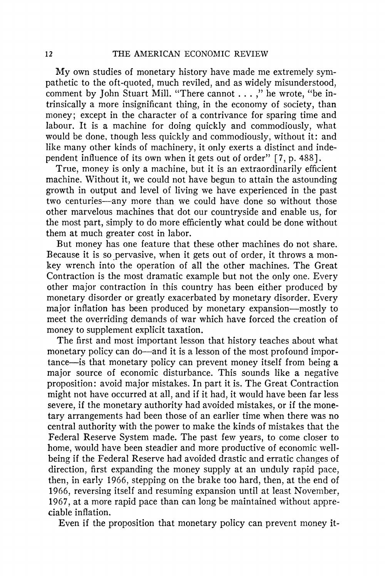**My own studies of monetary history have made me extremely sympathetic to the oft-quoted, much reviled, and as widely misunderstood, comment by John Stuart Mill. "There cannot . .. ," he wrote, "be intrinsically a more insignificant thing, in the economy of society, than money; except in the character of a contrivance for sparing time and labour. It is a machine for doing quickly and commodiously, what would be done, though less quickly and commodiously, without it: and like many other kinds of machinery, it only exerts a distinct and independent influence of its own when it gets out of order" [7, p. 488].** 

**True, money is only a machine, but it is an extraordinarily efficient machine. Without it, we could not have begun to attain the astounding growth in output and level of living we have experienced in the past two centuries-any more than we could have done so without those other marvelous machines that dot our countryside and enable us, for the most part, simply to do more efficiently what could be done without them at much greater cost in labor.** 

**But money has one feature that these other machines do not share. Because it is so pervasive, when it gets out of order, it throws a monkey wrench into the operation of all the other machines. The Great Contraction is the most dramatic example but not the only one. Every other major contraction in this country has been either produced by monetary disorder or greatly exacerbated by monetary disorder. Every major inflation has been produced by monetary expansion-mostly to meet the overriding demands of war which have forced the creation of money to supplement explicit taxation.** 

**The first and most important lesson that history teaches about what**  monetary policy can do—and it is a lesson of the most profound impor**tance-is that monetary policy can prevent money itself from being a major source of economic disturbance. This sounds like a negative proposition: avoid major mistakes. In part it is. The Great Contraction might not have occurred at all, and if it had, it would have been far less severe, if the monetary authority had avoided mistakes, or if the monetary arrangements had been those of an earlier time when there was no central authority with the power to make the kinds of mistakes that the Federal Reserve System made. The past few years, to come closer to home, would have been steadier and more productive of economic wellbeing if the Federal Reserve had avoided drastic and erratic changes of direction, first expanding the money supply at an unduly rapid pace, then, in early 1966, stepping on the brake too hard, then, at the end of 1966, reversing itself and resuming expansion until at least November, 1967, at a more rapid pace than can long be maintained without appreciable inflation.** 

**Even if the proposition that monetary policy can prevent money it-**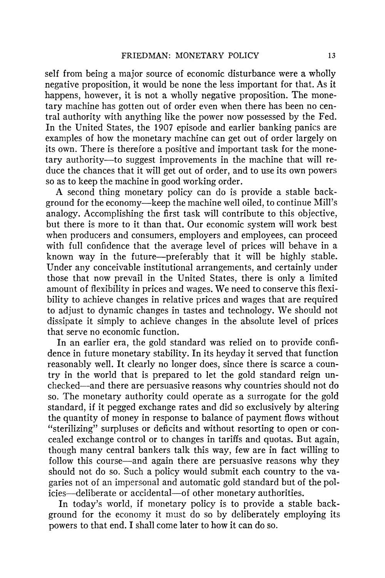**self from being a major source of economic disturbance were a wholly negative proposition, it would be none the less important for that. As it happens, however, it is not a wholly negative proposition. The monetary machine has gotten out of order even when there has been no central authority with anything like the power now possessed by the Fed. In the United States, the 1907 episode and earlier banking panics are examples of how the monetary machine can get out of order largely on its own. There is therefore a positive and important task for the mone**tary authority—to suggest improvements in the machine that will re**duce the chances that it will get out of order, and to use its own powers so as to keep the machine in good working order.** 

**A second thing monetary policy can do is provide a stable background for the economy-keep the machine well oiled, to continue Mill's analogy. Accomplishing the first task will contribute to this objective, but there is more to it than that. Our economic system will work best when producers and consumers, employers and employees, can proceed with full confidence that the average level of prices will behave in a known way in the future-preferably that it will be highly stable. Under any conceivable institutional arrangements, and certainly under those that now prevail in the United States, there is only a limited amount of flexibility in prices and wages. We need to conserve this flexibility to achieve changes in relative prices and wages that are required to adjust to dynamic changes in tastes and technology. We should not dissipate it simply to achieve changes in the absolute level of prices that serve no economic function.** 

**In an earlier era, the gold standard was relied on to provide confidence in future monetary stability. In its heyday it served that function reasonably well. It clearly no longer does, since there is scarce a country in the world that is prepared to let the gold standard reign unchecked-and there are persuasive reasons why countries should not do so. The monetary authority could operate as a surrogate for the gold standard, if it pegged exchange rates and did so exclusively by altering the quantity of money in response to balance of payment flows without "sterilizing" surpluses or deficits and without resorting to open or concealed exchange control or to changes in tariffs and quotas. But again, though many central bankers talk this way, few are in fact willing to follow this course-and again there are persuasive reasons why they should not do so. Such a policy would submit each country to the vagaries not of an impersonal and automatic gold standard but of the policies-deliberate or accidental-of other monetary authorities.** 

**In today's world, if monetary policy is to provide a stable background for the economy it must do so by deliberately employing its powers to that end. I shall come later to how it can do so.**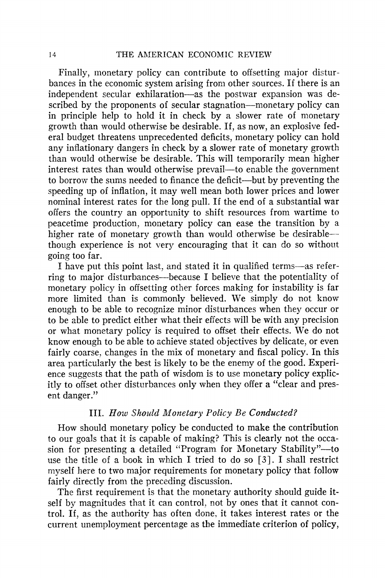**Finally, monetary policy can contribute to offsetting major distur**bances in the economic system arising from other sources. If there is an **independent secular exhilaration-as the postwar expansion was described by the proponents of secular stagnation-monetary policy can in principle help to hold it in check by a slower rate of monetary growth than would otherwise be desirable. If, as now, an explosive federal budget threatens unprecedented deficits, monetary policy can hold any inflationary dangers in check by a slower rate of monetary growth than would otherwise be desirable. This will temporarily mean higher interest rates than would otherwise prevail-to enable the government to borrow the sums needed to finance the deficit-but by preventing the speeding up of inflation, it may well mean both lower prices and lower nominal interest rates for the long pull. If the end of a substantial war offers the country an opportunity to shift resources from wartime to peacetime production, monetary policy can ease the transition by a higher rate of monetary growth than would otherwise be desirablethough experience is not very encouraging that it can do so without going too far.** 

**I have put this point last, and stated it in qualified terms-as referring to major disturbances-because I believe that the potentiality of monetary policy in offsetting other forces making for instability is far more limited than is commonly believed. We simply do not know enough to be able to recognize minor disturbances when they occur or to be able to predict either what their effects will be with any precision or what monetary policy is required to offset their effects. We do not know enough to be able to achieve stated objectives by delicate, or even fairly coarse, changes in the mix of monetary and fiscal policy. In this area particularly the best is likely to be the enemy of the good. Experience suggests that the path of wisdom is to use monetary policy explicitly to offset other disturbances only when they offer a "clear and present danger."** 

## **III. How Should Monetary Policy Be Conducted?**

**How should monetary policy be conducted to make the contribution to our goals that it is capable of making? This is clearly not the occasion for presenting a detailed "Program for Monetary Stability"-to use the title of a book in which I tried to do so [3]. I shall restrict myself here to two major requirements for monetary policy that follow fairly directly from the preceding discussion.** 

The first requirement is that the monetary authority should guide it**self by magnitudes that it can control, not by ones that it cannot control. If, as the authority has often done, it takes interest rates or the current unemployment percentage as the immediate criterion of policy,**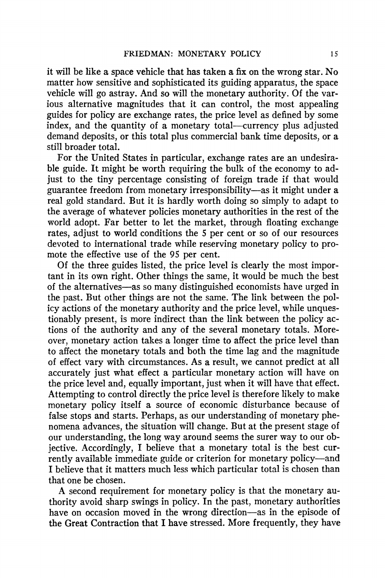**it will be like a space vehicle that has taken a fix on the wrong star. No matter how sensitive and sophisticated its guiding apparatus, the space vehicle will go astray. And so will the monetary authority. Of the various alternative magnitudes that it can control, the most appealing guides for policy are exchange rates, the price level as defined by some index, and the quantity of a monetary total-currency plus adjusted demand deposits, or this total plus commercial bank time deposits, or a still broader total.** 

**For the United States in particular, exchange rates are an undesirable guide. It might be worth requiring the bulk of the economy to adjust to the tiny percentage consisting of foreign trade if that would guarantee freedom from monetary irresponsibility-as it might under a real gold standard. But it is hardly worth doing so simply to adapt to the average of whatever policies monetary authorities in the rest of the world adopt. Far better to let the market, through floating exchange rates, adjust to world conditions the 5 per cent or so of our resources devoted to international trade while reserving monetary policy to promote the effective use of the 95 per cent.** 

**Of the three guides listed, the price level is clearly the most important in its own right. Other things the same, it would be much the best of the alternatives-as so many distinguished economists have urged in the past. But other things are not the same. The link between the policy actions of the monetary authority and the price level, while unquestionably present, is more indirect than the link between the policy actions of the authority and any of the several monetary totals. Moreover, monetary action takes a longer time to affect the price level than to affect the monetary totals and both the time lag and the magnitude of effect vary with circumstances. As a result, we cannot predict at all accurately just what effect a particular monetary action will have on the price level and, equally important, just when it will have that effect. Attempting to control directly the price level is therefore likely to make monetary policy itself a source of economic disturbance because of false stops and starts. Perhaps, as our understanding of monetary phenomena advances, the situation will change. But at the present stage of our understanding, the long way around seems the surer way to our objective. Accordingly, I believe that a monetary total is the best cur**rently available immediate guide or criterion for monetary policy—and **I believe that it matters much less which particular total is chosen than that one be chosen.** 

**A second requirement for monetary policy is that the monetary authority avoid sharp swings in policy. In the past, monetary authorities have on occasion moved in the wrong direction-as in the episode of the Great Contraction that I have stressed. More frequently, they have**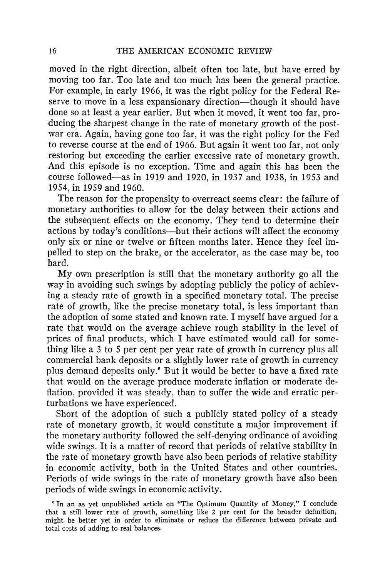**moved in the right direction, albeit often too late, but have erred by moving too far. Too late and too much has been the general practice. For example, in early 1966, it was the right policy for the Federal Reserve to move in a less expansionary direction-though it should have done so at least a year earlier. But when it moved, it went too far, producing the sharpest change in the rate of monetary growth of the postwar era. Again, having gone too far, it was the right policy for the Fed to reverse course at the end of 1966. But again it went too far, not only restoring but exceeding the earlier excessive rate of monetary growth. And this episode is no exception. Time and again this has been the course followed-as in 1919 and 1920, in 1937 and 1938, in 1953 and 1954, in 1959 and 1960.** 

**The reason for the propensity to overreact seems clear: the failure of monetary authorities to allow for the delay between their actions and the subsequent effects on the economy. They tend to determine their actions by today's conditions-but their actions will affect the economy only six or nine or twelve or fifteen months later. Hence they feel impelled to step on the brake, or the accelerator, as the case may be, too hard.** 

**My own prescription is still that the monetary authority go all the way in avoiding such swings by adopting publicly the policy of achieving a steady rate of growth in a specified monetary total. The precise rate of growth, like the precise monetary total, is less important than the adoption of some stated and known rate. I myself have argued for a rate that would on the average achieve rough stability in the level of prices of final products, which I have estimated would call for something like a 3 to 5 per cent per year rate of growth in currency plus all commercial bank deposits or a slightly lower rate of growth in currency plus demand deposits only.6 But it would be better to have a fixed rate that would on the average produce moderate inflation or moderate deflation, provided it was steady, than to suffer the wide and erratic perturbations we have experienced.** 

**Short of the adoption of such a publicly stated policy of a steady rate of monetary growth, it would constitute a major improvement if the monetary authority followed the self-denying ordinance of avoiding wide swings. It is a matter of record that periods of relative stability in the rate of monetary growth have also been periods of relative stability in economic activity, both in the United States and other countries. Periods of wide swings in the rate of monetary growth have also been periods of wide swings in economic activity.** 

**<sup>a</sup>In an as yet unpublished article on "The Optimum Quantity of Money," I conclude that a still lower rate of growth, something like 2 per cent for the broader definition, might be better yet in order to eliminate or reduce the difference between private and total costs of adding to real balances.**